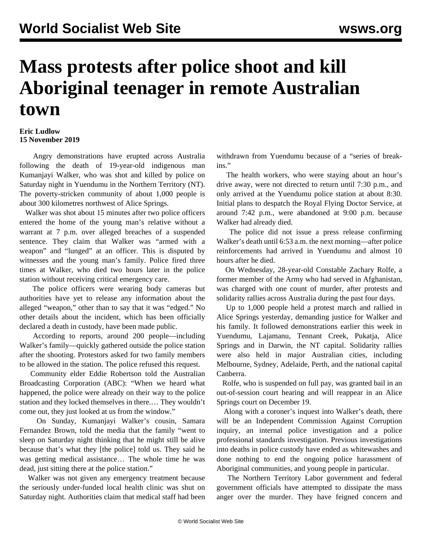## **Mass protests after police shoot and kill Aboriginal teenager in remote Australian town**

## **Eric Ludlow 15 November 2019**

 Angry demonstrations have erupted across Australia following the death of 19-year-old indigenous man Kumanjayi Walker, who was shot and killed by police on Saturday night in Yuendumu in the Northern Territory (NT). The poverty-stricken community of about 1,000 people is about 300 kilometres northwest of Alice Springs.

 Walker was shot about 15 minutes after two police officers entered the home of the young man's relative without a warrant at 7 p.m. over alleged breaches of a suspended sentence. They claim that Walker was "armed with a weapon" and "lunged" at an officer. This is disputed by witnesses and the young man's family. Police fired three times at Walker, who died two hours later in the police station without receiving critical emergency care.

 The police officers were wearing body cameras but authorities have yet to release any information about the alleged "weapon," other than to say that it was "edged." No other details about the incident, which has been officially declared a death in custody, have been made public.

 According to reports, around 200 people—including Walker's family—quickly gathered outside the police station after the shooting. Protestors asked for two family members to be allowed in the station. The police refused this request.

 Community elder Eddie Robertson told the Australian Broadcasting Corporation (ABC): "When we heard what happened, the police were already on their way to the police station and they locked themselves in there.… They wouldn't come out, they just looked at us from the window."

 On Sunday, Kumanjayi Walker's cousin, Samara Fernandez Brown, told the media that the family "went to sleep on Saturday night thinking that he might still be alive because that's what they [the police] told us. They said he was getting medical assistance… The whole time he was dead, just sitting there at the police station."

 Walker was not given any emergency treatment because the seriously under-funded local health clinic was shut on Saturday night. Authorities claim that medical staff had been withdrawn from Yuendumu because of a "series of breakins."

 The health workers, who were staying about an hour's drive away, were not directed to return until 7:30 p.m., and only arrived at the Yuendumu police station at about 8:30. Initial plans to despatch the Royal Flying Doctor Service, at around 7:42 p.m., were abandoned at 9:00 p.m. because Walker had already died.

 The police did not issue a press release confirming Walker's death until 6:53 a.m. the next morning—after police reinforcements had arrived in Yuendumu and almost 10 hours after he died.

 On Wednesday, 28-year-old Constable Zachary Rolfe, a former member of the Army who had served in Afghanistan, was charged with one count of murder, after protests and solidarity rallies across Australia during the past four days.

 Up to 1,000 people held a protest march and rallied in Alice Springs yesterday, demanding justice for Walker and his family. It followed demonstrations earlier this week in Yuendumu, Lajamanu, Tennant Creek, Pukatja, Alice Springs and in Darwin, the NT capital. Solidarity rallies were also held in major Australian cities, including Melbourne, Sydney, Adelaide, Perth, and the national capital Canberra.

 Rolfe, who is suspended on full pay, was granted bail in an out-of-session court hearing and will reappear in an Alice Springs court on December 19.

 Along with a coroner's inquest into Walker's death, there will be an Independent Commission Against Corruption inquiry, an internal police investigation and a police professional standards investigation. Previous investigations into deaths in police custody have ended as whitewashes and done nothing to end the ongoing police harassment of Aboriginal communities, and young people in particular.

 The Northern Territory Labor government and federal government officials have attempted to dissipate the mass anger over the murder. They have feigned concern and